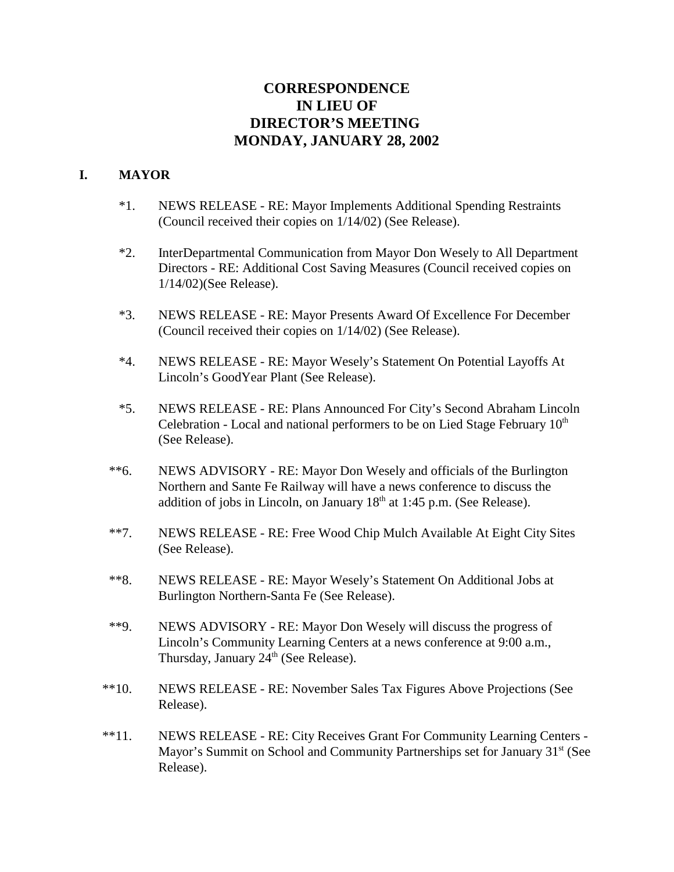# **CORRESPONDENCE IN LIEU OF DIRECTOR'S MEETING MONDAY, JANUARY 28, 2002**

#### **I. MAYOR**

- \*1. NEWS RELEASE RE: Mayor Implements Additional Spending Restraints (Council received their copies on 1/14/02) (See Release).
- \*2. InterDepartmental Communication from Mayor Don Wesely to All Department Directors - RE: Additional Cost Saving Measures (Council received copies on 1/14/02)(See Release).
- \*3. NEWS RELEASE RE: Mayor Presents Award Of Excellence For December (Council received their copies on 1/14/02) (See Release).
- \*4. NEWS RELEASE RE: Mayor Wesely's Statement On Potential Layoffs At Lincoln's GoodYear Plant (See Release).
- \*5. NEWS RELEASE RE: Plans Announced For City's Second Abraham Lincoln Celebration - Local and national performers to be on Lied Stage February  $10<sup>th</sup>$ (See Release).
- \*\*6. NEWS ADVISORY RE: Mayor Don Wesely and officials of the Burlington Northern and Sante Fe Railway will have a news conference to discuss the addition of jobs in Lincoln, on January  $18<sup>th</sup>$  at 1:45 p.m. (See Release).
- \*\*7. NEWS RELEASE RE: Free Wood Chip Mulch Available At Eight City Sites (See Release).
- \*\*8. NEWS RELEASE RE: Mayor Wesely's Statement On Additional Jobs at Burlington Northern-Santa Fe (See Release).
- \*\*9. NEWS ADVISORY RE: Mayor Don Wesely will discuss the progress of Lincoln's Community Learning Centers at a news conference at 9:00 a.m., Thursday, January 24<sup>th</sup> (See Release).
- \*\*10. NEWS RELEASE RE: November Sales Tax Figures Above Projections (See Release).
- \*\*11. NEWS RELEASE RE: City Receives Grant For Community Learning Centers Mayor's Summit on School and Community Partnerships set for January 31<sup>st</sup> (See Release).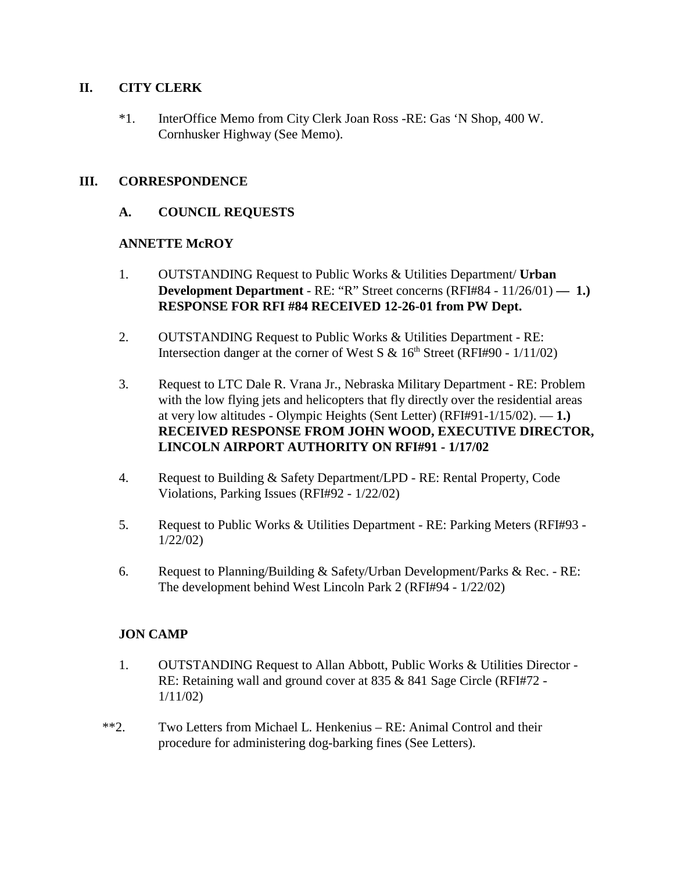#### **II. CITY CLERK**

\*1. InterOffice Memo from City Clerk Joan Ross -RE: Gas 'N Shop, 400 W. Cornhusker Highway (See Memo).

#### **III. CORRESPONDENCE**

#### **A. COUNCIL REQUESTS**

#### **ANNETTE McROY**

- 1. OUTSTANDING Request to Public Works & Utilities Department/ **Urban Development Department** - RE: "R" Street concerns (RFI#84 - 11/26/01) — 1.) **RESPONSE FOR RFI #84 RECEIVED 12-26-01 from PW Dept.**
- 2. OUTSTANDING Request to Public Works & Utilities Department RE: Intersection danger at the corner of West S &  $16<sup>th</sup>$  Street (RFI#90 - 1/11/02)
- 3. Request to LTC Dale R. Vrana Jr., Nebraska Military Department RE: Problem with the low flying jets and helicopters that fly directly over the residential areas at very low altitudes - Olympic Heights (Sent Letter) (RFI#91-1/15/02). — **1.) RECEIVED RESPONSE FROM JOHN WOOD, EXECUTIVE DIRECTOR, LINCOLN AIRPORT AUTHORITY ON RFI#91 - 1/17/02**
- 4. Request to Building & Safety Department/LPD RE: Rental Property, Code Violations, Parking Issues (RFI#92 - 1/22/02)
- 5. Request to Public Works & Utilities Department RE: Parking Meters (RFI#93 1/22/02)
- 6. Request to Planning/Building & Safety/Urban Development/Parks & Rec. RE: The development behind West Lincoln Park 2 (RFI#94 - 1/22/02)

#### **JON CAMP**

- 1. OUTSTANDING Request to Allan Abbott, Public Works & Utilities Director RE: Retaining wall and ground cover at 835 & 841 Sage Circle (RFI#72 - 1/11/02)
- \*\*2. Two Letters from Michael L. Henkenius RE: Animal Control and their procedure for administering dog-barking fines (See Letters).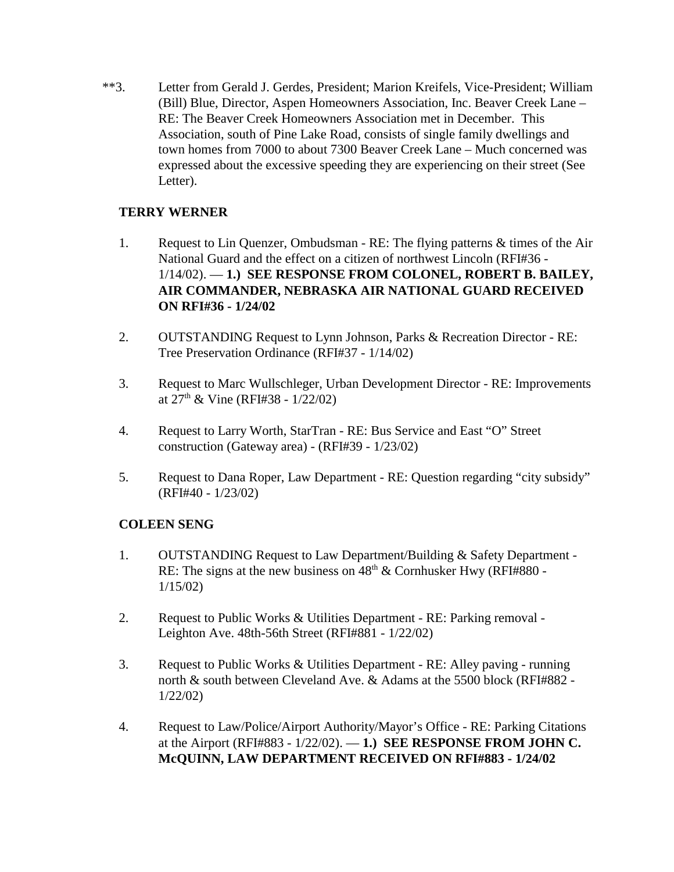\*\*3. Letter from Gerald J. Gerdes, President; Marion Kreifels, Vice-President; William (Bill) Blue, Director, Aspen Homeowners Association, Inc. Beaver Creek Lane – RE: The Beaver Creek Homeowners Association met in December. This Association, south of Pine Lake Road, consists of single family dwellings and town homes from 7000 to about 7300 Beaver Creek Lane – Much concerned was expressed about the excessive speeding they are experiencing on their street (See Letter).

# **TERRY WERNER**

- 1. Request to Lin Quenzer, Ombudsman RE: The flying patterns & times of the Air National Guard and the effect on a citizen of northwest Lincoln (RFI#36 - 1/14/02). — **1.) SEE RESPONSE FROM COLONEL, ROBERT B. BAILEY, AIR COMMANDER, NEBRASKA AIR NATIONAL GUARD RECEIVED ON RFI#36 - 1/24/02**
- 2. OUTSTANDING Request to Lynn Johnson, Parks & Recreation Director RE: Tree Preservation Ordinance (RFI#37 - 1/14/02)
- 3. Request to Marc Wullschleger, Urban Development Director RE: Improvements at  $27<sup>th</sup>$  & Vine (RFI#38 - 1/22/02)
- 4. Request to Larry Worth, StarTran RE: Bus Service and East "O" Street construction (Gateway area) - (RFI#39 - 1/23/02)
- 5. Request to Dana Roper, Law Department RE: Question regarding "city subsidy" (RFI#40 - 1/23/02)

# **COLEEN SENG**

- 1. OUTSTANDING Request to Law Department/Building & Safety Department RE: The signs at the new business on  $48<sup>th</sup>$  & Cornhusker Hwy (RFI#880 -1/15/02)
- 2. Request to Public Works & Utilities Department RE: Parking removal Leighton Ave. 48th-56th Street (RFI#881 - 1/22/02)
- 3. Request to Public Works & Utilities Department RE: Alley paving running north & south between Cleveland Ave. & Adams at the 5500 block (RFI#882 - 1/22/02)
- 4. Request to Law/Police/Airport Authority/Mayor's Office RE: Parking Citations at the Airport (RFI#883 - 1/22/02). — **1.) SEE RESPONSE FROM JOHN C. McQUINN, LAW DEPARTMENT RECEIVED ON RFI#883 - 1/24/02**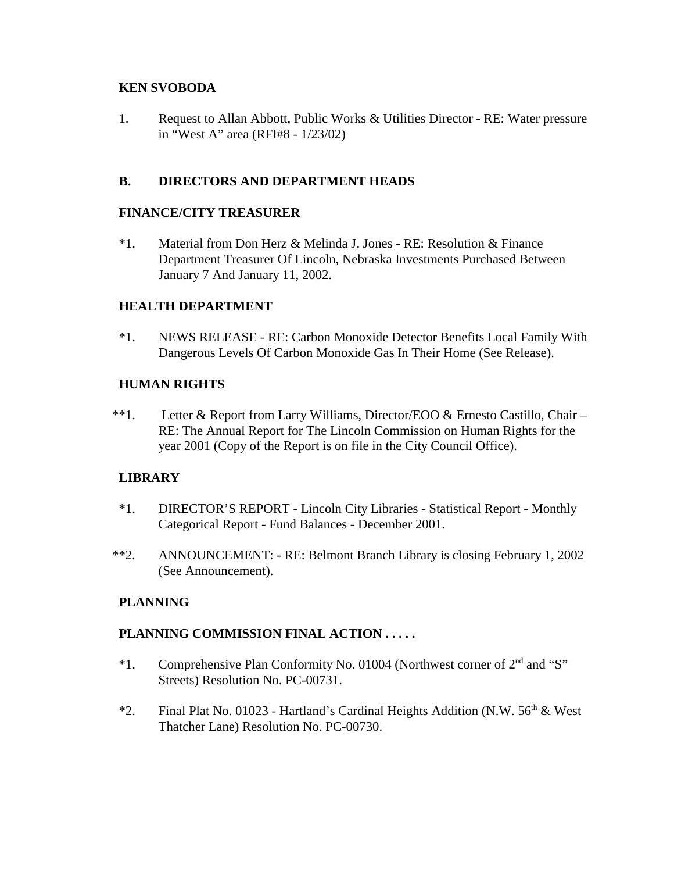# **KEN SVOBODA**

1. Request to Allan Abbott, Public Works & Utilities Director - RE: Water pressure in "West A" area (RFI#8 - 1/23/02)

# **B. DIRECTORS AND DEPARTMENT HEADS**

#### **FINANCE/CITY TREASURER**

\*1. Material from Don Herz & Melinda J. Jones - RE: Resolution & Finance Department Treasurer Of Lincoln, Nebraska Investments Purchased Between January 7 And January 11, 2002.

# **HEALTH DEPARTMENT**

\*1. NEWS RELEASE - RE: Carbon Monoxide Detector Benefits Local Family With Dangerous Levels Of Carbon Monoxide Gas In Their Home (See Release).

# **HUMAN RIGHTS**

 \*\*1. Letter & Report from Larry Williams, Director/EOO & Ernesto Castillo, Chair – RE: The Annual Report for The Lincoln Commission on Human Rights for the year 2001 (Copy of the Report is on file in the City Council Office).

#### **LIBRARY**

- \*1. DIRECTOR'S REPORT Lincoln City Libraries Statistical Report Monthly Categorical Report - Fund Balances - December 2001.
- \*\*2. ANNOUNCEMENT: RE: Belmont Branch Library is closing February 1, 2002 (See Announcement).

# **PLANNING**

# **PLANNING COMMISSION FINAL ACTION . . . . .**

- \*1. Comprehensive Plan Conformity No. 01004 (Northwest corner of 2nd and "S" Streets) Resolution No. PC-00731.
- \*2. Final Plat No. 01023 Hartland's Cardinal Heights Addition (N.W.  $56<sup>th</sup>$  & West Thatcher Lane) Resolution No. PC-00730.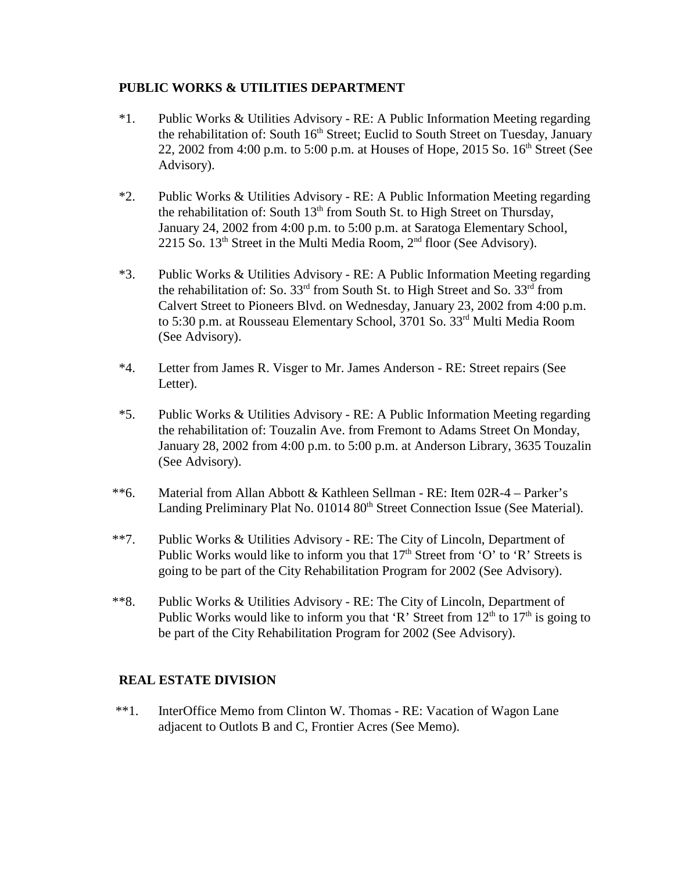# **PUBLIC WORKS & UTILITIES DEPARTMENT**

- \*1. Public Works & Utilities Advisory RE: A Public Information Meeting regarding the rehabilitation of: South 16<sup>th</sup> Street; Euclid to South Street on Tuesday, January 22, 2002 from 4:00 p.m. to 5:00 p.m. at Houses of Hope, 2015 So.  $16<sup>th</sup>$  Street (See Advisory).
- \*2. Public Works & Utilities Advisory RE: A Public Information Meeting regarding the rehabilitation of: South  $13<sup>th</sup>$  from South St. to High Street on Thursday, January 24, 2002 from 4:00 p.m. to 5:00 p.m. at Saratoga Elementary School, 2215 So.  $13<sup>th</sup>$  Street in the Multi Media Room,  $2<sup>nd</sup>$  floor (See Advisory).
- \*3. Public Works & Utilities Advisory RE: A Public Information Meeting regarding the rehabilitation of: So.  $33<sup>rd</sup>$  from South St. to High Street and So.  $33<sup>rd</sup>$  from Calvert Street to Pioneers Blvd. on Wednesday, January 23, 2002 from 4:00 p.m. to 5:30 p.m. at Rousseau Elementary School, 3701 So. 33rd Multi Media Room (See Advisory).
- \*4. Letter from James R. Visger to Mr. James Anderson RE: Street repairs (See Letter).
- \*5. Public Works & Utilities Advisory RE: A Public Information Meeting regarding the rehabilitation of: Touzalin Ave. from Fremont to Adams Street On Monday, January 28, 2002 from 4:00 p.m. to 5:00 p.m. at Anderson Library, 3635 Touzalin (See Advisory).
- \*\*6. Material from Allan Abbott & Kathleen Sellman RE: Item 02R-4 Parker's Landing Preliminary Plat No. 01014 80<sup>th</sup> Street Connection Issue (See Material).
- \*\*7. Public Works & Utilities Advisory RE: The City of Lincoln, Department of Public Works would like to inform you that  $17<sup>th</sup>$  Street from 'O' to 'R' Streets is going to be part of the City Rehabilitation Program for 2002 (See Advisory).
- \*\*8. Public Works & Utilities Advisory RE: The City of Lincoln, Department of Public Works would like to inform you that 'R' Street from  $12<sup>th</sup>$  to  $17<sup>th</sup>$  is going to be part of the City Rehabilitation Program for 2002 (See Advisory).

# **REAL ESTATE DIVISION**

\*\*1. InterOffice Memo from Clinton W. Thomas - RE: Vacation of Wagon Lane adjacent to Outlots B and C, Frontier Acres (See Memo).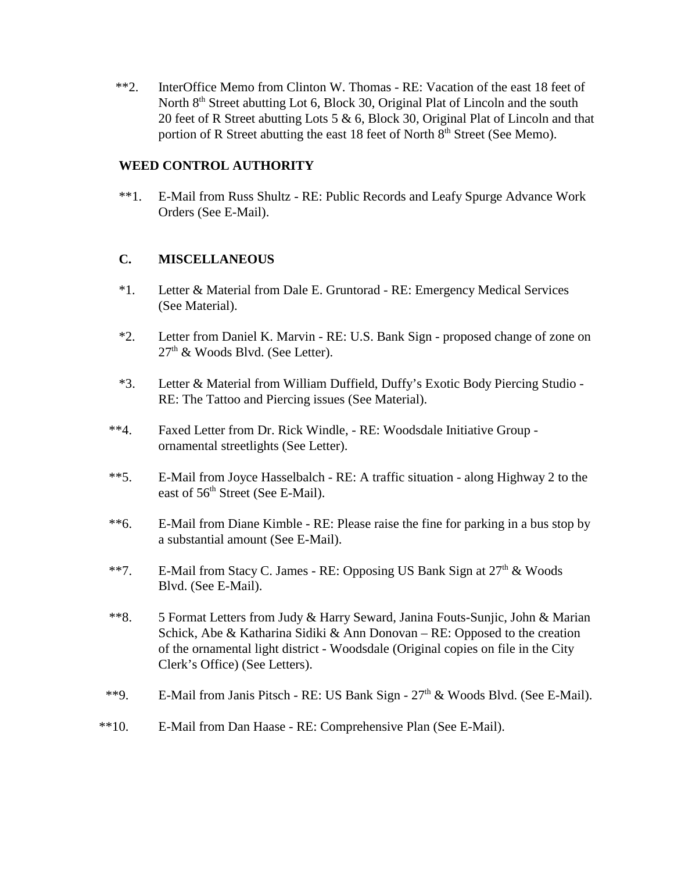\*\*2. InterOffice Memo from Clinton W. Thomas - RE: Vacation of the east 18 feet of North 8<sup>th</sup> Street abutting Lot 6, Block 30, Original Plat of Lincoln and the south 20 feet of R Street abutting Lots 5 & 6, Block 30, Original Plat of Lincoln and that portion of R Street abutting the east 18 feet of North  $8<sup>th</sup>$  Street (See Memo).

#### **WEED CONTROL AUTHORITY**

\*\*1. E-Mail from Russ Shultz - RE: Public Records and Leafy Spurge Advance Work Orders (See E-Mail).

#### **C. MISCELLANEOUS**

- \*1. Letter & Material from Dale E. Gruntorad RE: Emergency Medical Services (See Material).
- \*2. Letter from Daniel K. Marvin RE: U.S. Bank Sign proposed change of zone on  $27<sup>th</sup>$  & Woods Blvd. (See Letter).
- \*3. Letter & Material from William Duffield, Duffy's Exotic Body Piercing Studio RE: The Tattoo and Piercing issues (See Material).
- \*\*4. Faxed Letter from Dr. Rick Windle, RE: Woodsdale Initiative Group ornamental streetlights (See Letter).
- \*\*5. E-Mail from Joyce Hasselbalch RE: A traffic situation along Highway 2 to the east of 56<sup>th</sup> Street (See E-Mail).
- \*\*6. E-Mail from Diane Kimble RE: Please raise the fine for parking in a bus stop by a substantial amount (See E-Mail).
- \*\*7. E-Mail from Stacy C. James RE: Opposing US Bank Sign at  $27<sup>th</sup> \&$  Woods Blvd. (See E-Mail).
- \*\*8. 5 Format Letters from Judy & Harry Seward, Janina Fouts-Sunjic, John & Marian Schick, Abe & Katharina Sidiki & Ann Donovan – RE: Opposed to the creation of the ornamental light district - Woodsdale (Original copies on file in the City Clerk's Office) (See Letters).
- \*\*9. E-Mail from Janis Pitsch RE: US Bank Sign  $27<sup>th</sup>$  & Woods Blvd. (See E-Mail).
- \*\*10. E-Mail from Dan Haase RE: Comprehensive Plan (See E-Mail).